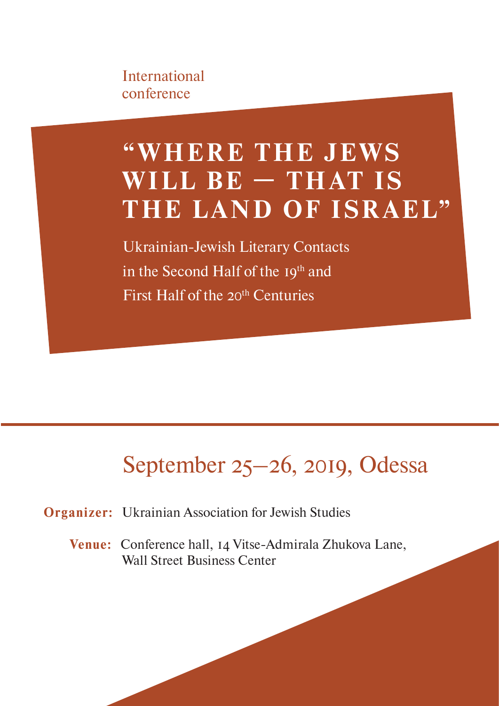International conference

# **"W HER E T HE J E WS**  WILL BE - THAT IS THE LAND OF ISRAEL"

Ukrainian-Jewish Literary Contacts in the Second Half of the 19th and First Half of the 20<sup>th</sup> Centuries

## September 25–26, 2019, Odessa

**Organizer:** Ukrainian Association for Jewish Studies

**Venue:** Conference hall, 14 Vitse-Admirala Zhukova Lane, Wall Street Business Center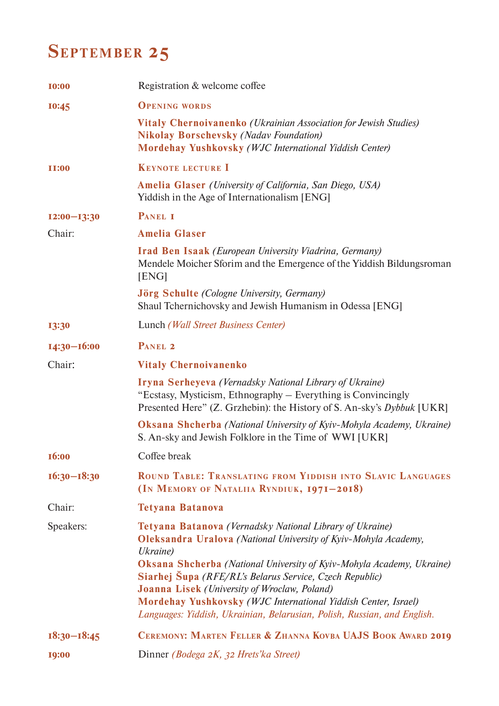## **SEPTEMBER 25**

| <b>I0:00</b>    | Registration & welcome coffee                                                                                                                                                                                                                                |
|-----------------|--------------------------------------------------------------------------------------------------------------------------------------------------------------------------------------------------------------------------------------------------------------|
| 10:45           | <b>OPENING WORDS</b>                                                                                                                                                                                                                                         |
|                 | <b>Vitaly Chernoivanenko</b> ( <i>Ukrainian Association for Jewish Studies</i> )<br><b>Nikolay Borschevsky (Nadav Foundation)</b><br>Mordehay Yushkovsky (WJC International Yiddish Center)                                                                  |
| <b>II:00</b>    | <b>KEYNOTE LECTURE I</b>                                                                                                                                                                                                                                     |
|                 | <b>Amelia Glaser</b> ( <i>University of California, San Diego, USA</i> )<br>Yiddish in the Age of Internationalism [ENG]                                                                                                                                     |
| $I2:00-I3:30$   | PANEL I                                                                                                                                                                                                                                                      |
| Chair:          | <b>Amelia Glaser</b>                                                                                                                                                                                                                                         |
|                 | <b>Irad Ben Isaak</b> (European University Viadrina, Germany)<br>Mendele Moicher Sforim and the Emergence of the Yiddish Bildungsroman<br>[ENG]                                                                                                              |
|                 | <b>Jörg Schulte</b> (Cologne University, Germany)<br>Shaul Tchernichovsky and Jewish Humanism in Odessa [ENG]                                                                                                                                                |
| 13:30           | Lunch (Wall Street Business Center)                                                                                                                                                                                                                          |
| $I4:30 - I6:00$ | PANEL 2                                                                                                                                                                                                                                                      |
| Chair:          | <b>Vitaly Chernoivanenko</b>                                                                                                                                                                                                                                 |
|                 | <b>Iryna Serheyeva</b> (Vernadsky National Library of Ukraine)<br>"Ecstasy, Mysticism, Ethnography – Everything is Convincingly<br>Presented Here" (Z. Grzhebin): the History of S. An-sky's Dybbuk [UKR]                                                    |
|                 | <b>Oksana Shcherba</b> (National University of Kyiv-Mohyla Academy, Ukraine)<br>S. An-sky and Jewish Folklore in the Time of WWI [UKR]                                                                                                                       |
| 16:00           | Coffee break                                                                                                                                                                                                                                                 |
| $16:30 - 18:30$ | ROUND TABLE: TRANSLATING FROM YIDDISH INTO SLAVIC LANGUAGES<br>(IN MEMORY OF NATALIIA RYNDIUK, 1971-2018)                                                                                                                                                    |
| Chair:          | <b>Tetyana Batanova</b>                                                                                                                                                                                                                                      |
| Speakers:       | Tetyana Batanova (Vernadsky National Library of Ukraine)<br><b>Oleksandra Uralova</b> (National University of Kyiv-Mohyla Academy,<br>Ukraine)<br><b>Oksana Shcherba</b> (National University of Kyiv-Mohyla Academy, Ukraine)                               |
|                 | Siarhej Šupa (RFE/RL's Belarus Service, Czech Republic)<br><b>Joanna Lisek</b> (University of Wroclaw, Poland)<br>Mordehay Yushkovsky (WJC International Yiddish Center, Israel)<br>Languages: Yiddish, Ukrainian, Belarusian, Polish, Russian, and English. |
| $18:30 - 18:45$ | CEREMONY: MARTEN FELLER & ZHANNA KOVBA UAJS BOOK AWARD 2019                                                                                                                                                                                                  |
| 19:00           | Dinner (Bodega 2K, 32 Hrets'ka Street)                                                                                                                                                                                                                       |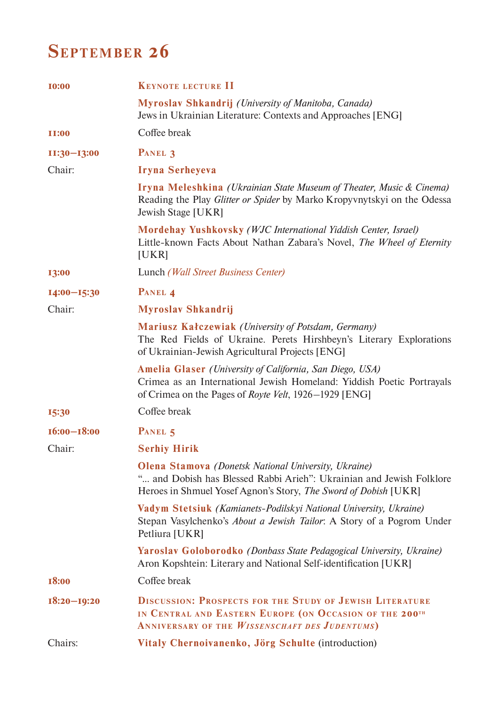### **SEPTEMBER 26**

| <b>I0:00</b>    | <b>KEYNOTE LECTURE II</b>                                                                                                                                                                                 |
|-----------------|-----------------------------------------------------------------------------------------------------------------------------------------------------------------------------------------------------------|
|                 | <b>Myroslav Shkandrij</b> (University of Manitoba, Canada)<br>Jews in Ukrainian Literature: Contexts and Approaches [ENG]                                                                                 |
| <b>II:00</b>    | Coffee break                                                                                                                                                                                              |
| $II:30-I3:00$   | PANEL 3                                                                                                                                                                                                   |
| Chair:          | Iryna Serheyeva                                                                                                                                                                                           |
|                 | Iryna Meleshkina (Ukrainian State Museum of Theater, Music & Cinema)<br>Reading the Play Glitter or Spider by Marko Kropyvnytskyi on the Odessa<br><b>Jewish Stage [UKR]</b>                              |
|                 | Mordehay Yushkovsky (WJC International Yiddish Center, Israel)<br>Little-known Facts About Nathan Zabara's Novel, The Wheel of Eternity<br>[UKR]                                                          |
| 13:00           | Lunch (Wall Street Business Center)                                                                                                                                                                       |
| $I4:00-I5:30$   | PANEL 4                                                                                                                                                                                                   |
| Chair:          | <b>Myroslav Shkandrij</b>                                                                                                                                                                                 |
|                 | <b>Mariusz Kałczewiak</b> (University of Potsdam, Germany)<br>The Red Fields of Ukraine. Perets Hirshbeyn's Literary Explorations<br>of Ukrainian-Jewish Agricultural Projects [ENG]                      |
|                 | <b>Amelia Glaser</b> (University of California, San Diego, USA)<br>Crimea as an International Jewish Homeland: Yiddish Poetic Portrayals<br>of Crimea on the Pages of <i>Royte Velt</i> , 1926–1929 [ENG] |
| 15:30           | Coffee break                                                                                                                                                                                              |
| $16:00 - 18:00$ | PANEL 5                                                                                                                                                                                                   |
| Chair:          | <b>Serhiy Hirik</b>                                                                                                                                                                                       |
|                 | <b>Olena Stamova</b> (Donetsk National University, Ukraine)<br>" and Dobish has Blessed Rabbi Arieh": Ukrainian and Jewish Folklore<br>Heroes in Shmuel Yosef Agnon's Story, The Sword of Dobish [UKR]    |
|                 | Vadym Stetsiuk (Kamianets-Podilskyi National University, Ukraine)<br>Stepan Vasylchenko's <i>About a Jewish Tailor</i> : A Story of a Pogrom Under<br>Petliura [UKR]                                      |
|                 | Yaroslav Goloborodko (Donbass State Pedagogical University, Ukraine)<br>Aron Kopshtein: Literary and National Self-identification [UKR]                                                                   |
| 18:00           | Coffee break                                                                                                                                                                                              |
| $18:20 - 19:20$ | <b>DISCUSSION: PROSPECTS FOR THE STUDY OF JEWISH LITERATURE</b><br>IN CENTRAL AND EASTERN EUROPE (ON OCCASION OF THE 200TH<br>ANNIVERSARY OF THE <i>WISSENSCHAFT DES JUDENTUMS</i> )                      |
| Chairs:         | Vitaly Chernoivanenko, Jörg Schulte (introduction)                                                                                                                                                        |